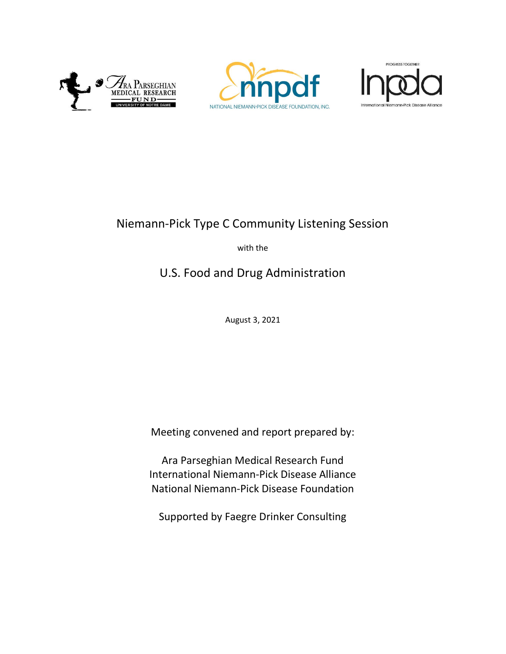





# Niemann-Pick Type C Community Listening Session

with the

# U.S. Food and Drug Administration

August 3, 2021

Meeting convened and report prepared by:

Ara Parseghian Medical Research Fund International Niemann-Pick Disease Alliance National Niemann-Pick Disease Foundation

Supported by Faegre Drinker Consulting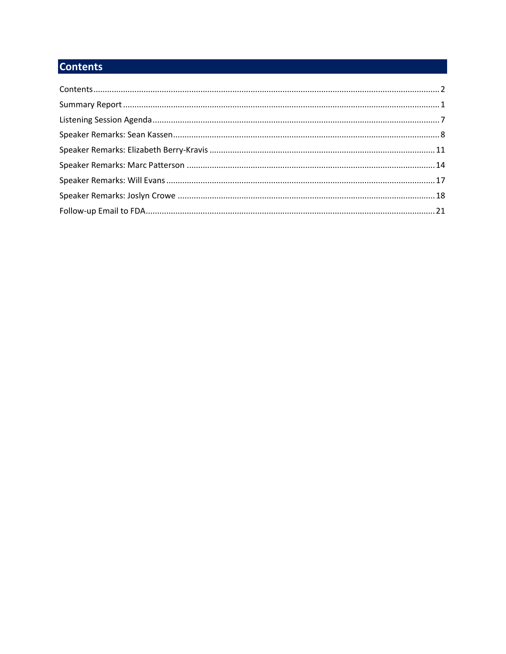# **Contents**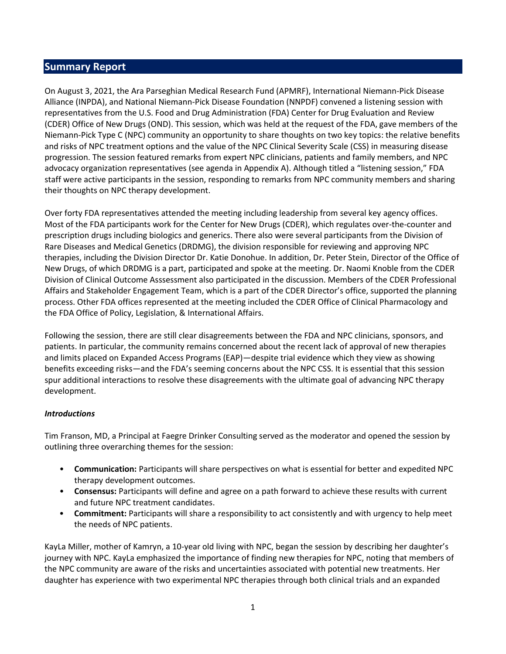# Summary Report

On August 3, 2021, the Ara Parseghian Medical Research Fund (APMRF), International Niemann-Pick Disease Alliance (INPDA), and National Niemann-Pick Disease Foundation (NNPDF) convened a listening session with representatives from the U.S. Food and Drug Administration (FDA) Center for Drug Evaluation and Review (CDER) Office of New Drugs (OND). This session, which was held at the request of the FDA, gave members of the Niemann-Pick Type C (NPC) community an opportunity to share thoughts on two key topics: the relative benefits and risks of NPC treatment options and the value of the NPC Clinical Severity Scale (CSS) in measuring disease progression. The session featured remarks from expert NPC clinicians, patients and family members, and NPC advocacy organization representatives (see agenda in Appendix A). Although titled a "listening session," FDA staff were active participants in the session, responding to remarks from NPC community members and sharing their thoughts on NPC therapy development.

Over forty FDA representatives attended the meeting including leadership from several key agency offices. Most of the FDA participants work for the Center for New Drugs (CDER), which regulates over-the-counter and prescription drugs including biologics and generics. There also were several participants from the Division of Rare Diseases and Medical Genetics (DRDMG), the division responsible for reviewing and approving NPC therapies, including the Division Director Dr. Katie Donohue. In addition, Dr. Peter Stein, Director of the Office of New Drugs, of which DRDMG is a part, participated and spoke at the meeting. Dr. Naomi Knoble from the CDER Division of Clinical Outcome Asssessment also participated in the discussion. Members of the CDER Professional Affairs and Stakeholder Engagement Team, which is a part of the CDER Director's office, supported the planning process. Other FDA offices represented at the meeting included the CDER Office of Clinical Pharmacology and the FDA Office of Policy, Legislation, & International Affairs.

Following the session, there are still clear disagreements between the FDA and NPC clinicians, sponsors, and patients. In particular, the community remains concerned about the recent lack of approval of new therapies and limits placed on Expanded Access Programs (EAP)—despite trial evidence which they view as showing benefits exceeding risks—and the FDA's seeming concerns about the NPC CSS. It is essential that this session spur additional interactions to resolve these disagreements with the ultimate goal of advancing NPC therapy development.

### Introductions

Tim Franson, MD, a Principal at Faegre Drinker Consulting served as the moderator and opened the session by outlining three overarching themes for the session:

- Communication: Participants will share perspectives on what is essential for better and expedited NPC therapy development outcomes.
- Consensus: Participants will define and agree on a path forward to achieve these results with current and future NPC treatment candidates.
- Commitment: Participants will share a responsibility to act consistently and with urgency to help meet the needs of NPC patients.

KayLa Miller, mother of Kamryn, a 10-year old living with NPC, began the session by describing her daughter's journey with NPC. KayLa emphasized the importance of finding new therapies for NPC, noting that members of the NPC community are aware of the risks and uncertainties associated with potential new treatments. Her daughter has experience with two experimental NPC therapies through both clinical trials and an expanded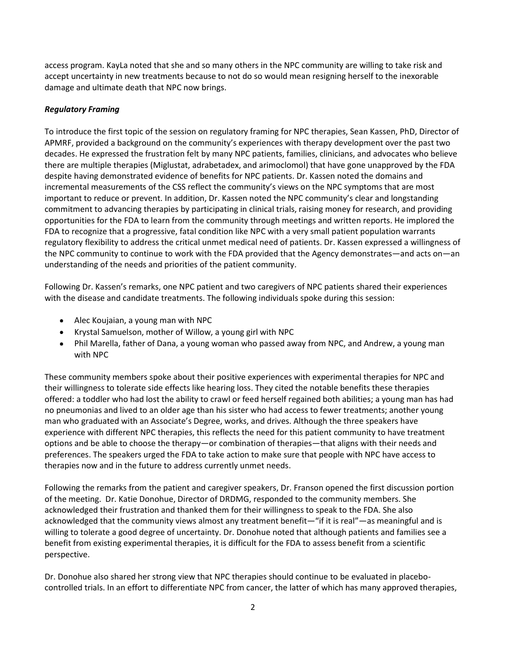access program. KayLa noted that she and so many others in the NPC community are willing to take risk and accept uncertainty in new treatments because to not do so would mean resigning herself to the inexorable damage and ultimate death that NPC now brings.

### Regulatory Framing

To introduce the first topic of the session on regulatory framing for NPC therapies, Sean Kassen, PhD, Director of APMRF, provided a background on the community's experiences with therapy development over the past two decades. He expressed the frustration felt by many NPC patients, families, clinicians, and advocates who believe there are multiple therapies (Miglustat, adrabetadex, and arimoclomol) that have gone unapproved by the FDA despite having demonstrated evidence of benefits for NPC patients. Dr. Kassen noted the domains and incremental measurements of the CSS reflect the community's views on the NPC symptoms that are most important to reduce or prevent. In addition, Dr. Kassen noted the NPC community's clear and longstanding commitment to advancing therapies by participating in clinical trials, raising money for research, and providing opportunities for the FDA to learn from the community through meetings and written reports. He implored the FDA to recognize that a progressive, fatal condition like NPC with a very small patient population warrants regulatory flexibility to address the critical unmet medical need of patients. Dr. Kassen expressed a willingness of the NPC community to continue to work with the FDA provided that the Agency demonstrates—and acts on—an understanding of the needs and priorities of the patient community.

Following Dr. Kassen's remarks, one NPC patient and two caregivers of NPC patients shared their experiences with the disease and candidate treatments. The following individuals spoke during this session:

- Alec Koujaian, a young man with NPC
- Krystal Samuelson, mother of Willow, a young girl with NPC
- Phil Marella, father of Dana, a young woman who passed away from NPC, and Andrew, a young man with NPC

These community members spoke about their positive experiences with experimental therapies for NPC and their willingness to tolerate side effects like hearing loss. They cited the notable benefits these therapies offered: a toddler who had lost the ability to crawl or feed herself regained both abilities; a young man has had no pneumonias and lived to an older age than his sister who had access to fewer treatments; another young man who graduated with an Associate's Degree, works, and drives. Although the three speakers have experience with different NPC therapies, this reflects the need for this patient community to have treatment options and be able to choose the therapy—or combination of therapies—that aligns with their needs and preferences. The speakers urged the FDA to take action to make sure that people with NPC have access to therapies now and in the future to address currently unmet needs.

Following the remarks from the patient and caregiver speakers, Dr. Franson opened the first discussion portion of the meeting. Dr. Katie Donohue, Director of DRDMG, responded to the community members. She acknowledged their frustration and thanked them for their willingness to speak to the FDA. She also acknowledged that the community views almost any treatment benefit—"if it is real"—as meaningful and is willing to tolerate a good degree of uncertainty. Dr. Donohue noted that although patients and families see a benefit from existing experimental therapies, it is difficult for the FDA to assess benefit from a scientific perspective.

Dr. Donohue also shared her strong view that NPC therapies should continue to be evaluated in placebocontrolled trials. In an effort to differentiate NPC from cancer, the latter of which has many approved therapies,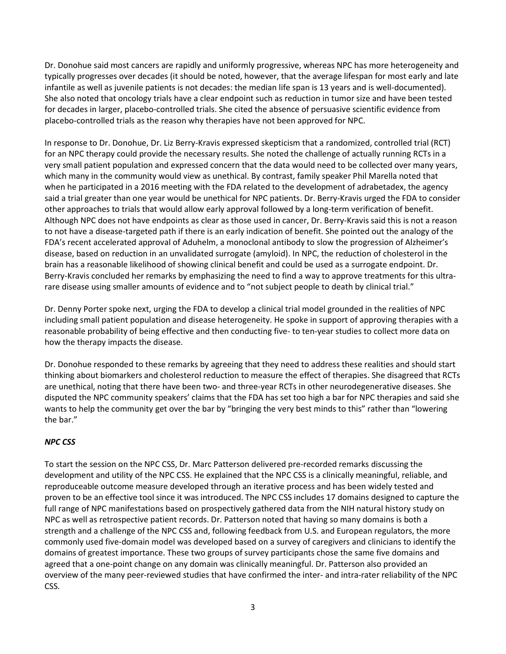Dr. Donohue said most cancers are rapidly and uniformly progressive, whereas NPC has more heterogeneity and typically progresses over decades (it should be noted, however, that the average lifespan for most early and late infantile as well as juvenile patients is not decades: the median life span is 13 years and is well-documented). She also noted that oncology trials have a clear endpoint such as reduction in tumor size and have been tested for decades in larger, placebo-controlled trials. She cited the absence of persuasive scientific evidence from placebo-controlled trials as the reason why therapies have not been approved for NPC.

In response to Dr. Donohue, Dr. Liz Berry-Kravis expressed skepticism that a randomized, controlled trial (RCT) for an NPC therapy could provide the necessary results. She noted the challenge of actually running RCTs in a very small patient population and expressed concern that the data would need to be collected over many years, which many in the community would view as unethical. By contrast, family speaker Phil Marella noted that when he participated in a 2016 meeting with the FDA related to the development of adrabetadex, the agency said a trial greater than one year would be unethical for NPC patients. Dr. Berry-Kravis urged the FDA to consider other approaches to trials that would allow early approval followed by a long-term verification of benefit. Although NPC does not have endpoints as clear as those used in cancer, Dr. Berry-Kravis said this is not a reason to not have a disease-targeted path if there is an early indication of benefit. She pointed out the analogy of the FDA's recent accelerated approval of Aduhelm, a monoclonal antibody to slow the progression of Alzheimer's disease, based on reduction in an unvalidated surrogate (amyloid). In NPC, the reduction of cholesterol in the brain has a reasonable likelihood of showing clinical benefit and could be used as a surrogate endpoint. Dr. Berry-Kravis concluded her remarks by emphasizing the need to find a way to approve treatments for this ultrarare disease using smaller amounts of evidence and to "not subject people to death by clinical trial."

Dr. Denny Porter spoke next, urging the FDA to develop a clinical trial model grounded in the realities of NPC including small patient population and disease heterogeneity. He spoke in support of approving therapies with a reasonable probability of being effective and then conducting five- to ten-year studies to collect more data on how the therapy impacts the disease.

Dr. Donohue responded to these remarks by agreeing that they need to address these realities and should start thinking about biomarkers and cholesterol reduction to measure the effect of therapies. She disagreed that RCTs are unethical, noting that there have been two- and three-year RCTs in other neurodegenerative diseases. She disputed the NPC community speakers' claims that the FDA has set too high a bar for NPC therapies and said she wants to help the community get over the bar by "bringing the very best minds to this" rather than "lowering the bar."

# NPC CSS

To start the session on the NPC CSS, Dr. Marc Patterson delivered pre-recorded remarks discussing the development and utility of the NPC CSS. He explained that the NPC CSS is a clinically meaningful, reliable, and reproduceable outcome measure developed through an iterative process and has been widely tested and proven to be an effective tool since it was introduced. The NPC CSS includes 17 domains designed to capture the full range of NPC manifestations based on prospectively gathered data from the NIH natural history study on NPC as well as retrospective patient records. Dr. Patterson noted that having so many domains is both a strength and a challenge of the NPC CSS and, following feedback from U.S. and European regulators, the more commonly used five-domain model was developed based on a survey of caregivers and clinicians to identify the domains of greatest importance. These two groups of survey participants chose the same five domains and agreed that a one-point change on any domain was clinically meaningful. Dr. Patterson also provided an overview of the many peer-reviewed studies that have confirmed the inter- and intra-rater reliability of the NPC CSS.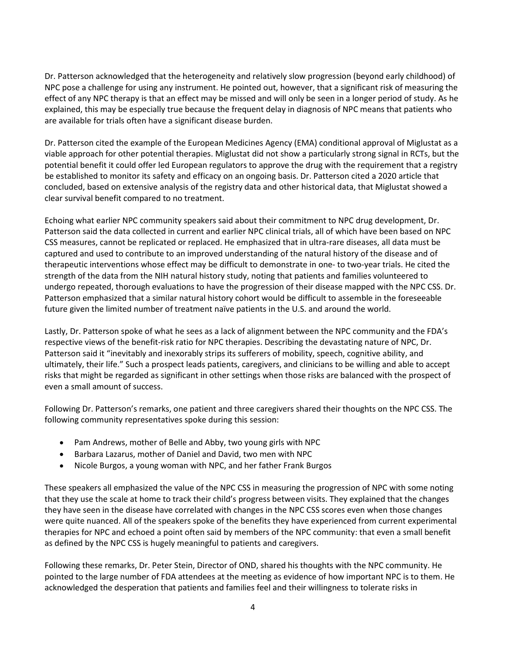Dr. Patterson acknowledged that the heterogeneity and relatively slow progression (beyond early childhood) of NPC pose a challenge for using any instrument. He pointed out, however, that a significant risk of measuring the effect of any NPC therapy is that an effect may be missed and will only be seen in a longer period of study. As he explained, this may be especially true because the frequent delay in diagnosis of NPC means that patients who are available for trials often have a significant disease burden.

Dr. Patterson cited the example of the European Medicines Agency (EMA) conditional approval of Miglustat as a viable approach for other potential therapies. Miglustat did not show a particularly strong signal in RCTs, but the potential benefit it could offer led European regulators to approve the drug with the requirement that a registry be established to monitor its safety and efficacy on an ongoing basis. Dr. Patterson cited a 2020 article that concluded, based on extensive analysis of the registry data and other historical data, that Miglustat showed a clear survival benefit compared to no treatment.

Echoing what earlier NPC community speakers said about their commitment to NPC drug development, Dr. Patterson said the data collected in current and earlier NPC clinical trials, all of which have been based on NPC CSS measures, cannot be replicated or replaced. He emphasized that in ultra-rare diseases, all data must be captured and used to contribute to an improved understanding of the natural history of the disease and of therapeutic interventions whose effect may be difficult to demonstrate in one- to two-year trials. He cited the strength of the data from the NIH natural history study, noting that patients and families volunteered to undergo repeated, thorough evaluations to have the progression of their disease mapped with the NPC CSS. Dr. Patterson emphasized that a similar natural history cohort would be difficult to assemble in the foreseeable future given the limited number of treatment naïve patients in the U.S. and around the world.

Lastly, Dr. Patterson spoke of what he sees as a lack of alignment between the NPC community and the FDA's respective views of the benefit-risk ratio for NPC therapies. Describing the devastating nature of NPC, Dr. Patterson said it "inevitably and inexorably strips its sufferers of mobility, speech, cognitive ability, and ultimately, their life." Such a prospect leads patients, caregivers, and clinicians to be willing and able to accept risks that might be regarded as significant in other settings when those risks are balanced with the prospect of even a small amount of success.

Following Dr. Patterson's remarks, one patient and three caregivers shared their thoughts on the NPC CSS. The following community representatives spoke during this session:

- Pam Andrews, mother of Belle and Abby, two young girls with NPC
- Barbara Lazarus, mother of Daniel and David, two men with NPC
- Nicole Burgos, a young woman with NPC, and her father Frank Burgos

These speakers all emphasized the value of the NPC CSS in measuring the progression of NPC with some noting that they use the scale at home to track their child's progress between visits. They explained that the changes they have seen in the disease have correlated with changes in the NPC CSS scores even when those changes were quite nuanced. All of the speakers spoke of the benefits they have experienced from current experimental therapies for NPC and echoed a point often said by members of the NPC community: that even a small benefit as defined by the NPC CSS is hugely meaningful to patients and caregivers.

Following these remarks, Dr. Peter Stein, Director of OND, shared his thoughts with the NPC community. He pointed to the large number of FDA attendees at the meeting as evidence of how important NPC is to them. He acknowledged the desperation that patients and families feel and their willingness to tolerate risks in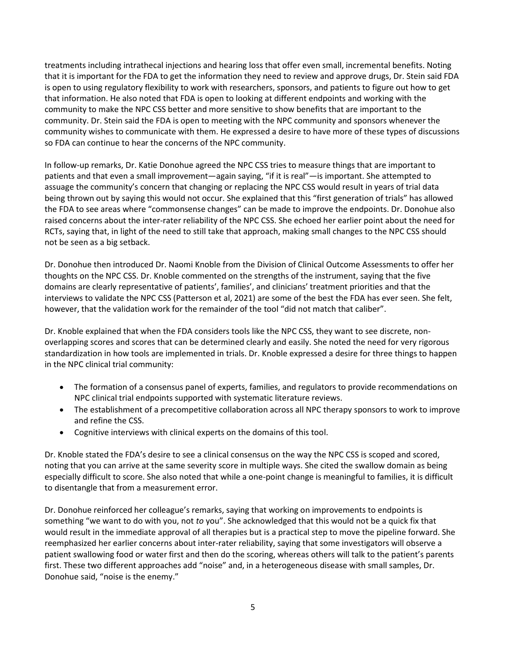treatments including intrathecal injections and hearing loss that offer even small, incremental benefits. Noting that it is important for the FDA to get the information they need to review and approve drugs, Dr. Stein said FDA is open to using regulatory flexibility to work with researchers, sponsors, and patients to figure out how to get that information. He also noted that FDA is open to looking at different endpoints and working with the community to make the NPC CSS better and more sensitive to show benefits that are important to the community. Dr. Stein said the FDA is open to meeting with the NPC community and sponsors whenever the community wishes to communicate with them. He expressed a desire to have more of these types of discussions so FDA can continue to hear the concerns of the NPC community.

In follow-up remarks, Dr. Katie Donohue agreed the NPC CSS tries to measure things that are important to patients and that even a small improvement—again saying, "if it is real"—is important. She attempted to assuage the community's concern that changing or replacing the NPC CSS would result in years of trial data being thrown out by saying this would not occur. She explained that this "first generation of trials" has allowed the FDA to see areas where "commonsense changes" can be made to improve the endpoints. Dr. Donohue also raised concerns about the inter-rater reliability of the NPC CSS. She echoed her earlier point about the need for RCTs, saying that, in light of the need to still take that approach, making small changes to the NPC CSS should not be seen as a big setback.

Dr. Donohue then introduced Dr. Naomi Knoble from the Division of Clinical Outcome Assessments to offer her thoughts on the NPC CSS. Dr. Knoble commented on the strengths of the instrument, saying that the five domains are clearly representative of patients', families', and clinicians' treatment priorities and that the interviews to validate the NPC CSS (Patterson et al, 2021) are some of the best the FDA has ever seen. She felt, however, that the validation work for the remainder of the tool "did not match that caliber".

Dr. Knoble explained that when the FDA considers tools like the NPC CSS, they want to see discrete, nonoverlapping scores and scores that can be determined clearly and easily. She noted the need for very rigorous standardization in how tools are implemented in trials. Dr. Knoble expressed a desire for three things to happen in the NPC clinical trial community:

- The formation of a consensus panel of experts, families, and regulators to provide recommendations on NPC clinical trial endpoints supported with systematic literature reviews.
- The establishment of a precompetitive collaboration across all NPC therapy sponsors to work to improve and refine the CSS.
- Cognitive interviews with clinical experts on the domains of this tool.

Dr. Knoble stated the FDA's desire to see a clinical consensus on the way the NPC CSS is scoped and scored, noting that you can arrive at the same severity score in multiple ways. She cited the swallow domain as being especially difficult to score. She also noted that while a one-point change is meaningful to families, it is difficult to disentangle that from a measurement error.

Dr. Donohue reinforced her colleague's remarks, saying that working on improvements to endpoints is something "we want to do with you, not to you". She acknowledged that this would not be a quick fix that would result in the immediate approval of all therapies but is a practical step to move the pipeline forward. She reemphasized her earlier concerns about inter-rater reliability, saying that some investigators will observe a patient swallowing food or water first and then do the scoring, whereas others will talk to the patient's parents first. These two different approaches add "noise" and, in a heterogeneous disease with small samples, Dr. Donohue said, "noise is the enemy."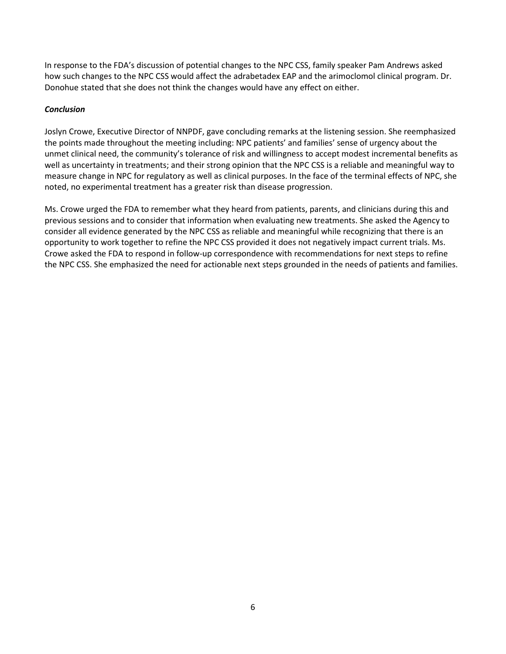In response to the FDA's discussion of potential changes to the NPC CSS, family speaker Pam Andrews asked how such changes to the NPC CSS would affect the adrabetadex EAP and the arimoclomol clinical program. Dr. Donohue stated that she does not think the changes would have any effect on either.

### Conclusion

Joslyn Crowe, Executive Director of NNPDF, gave concluding remarks at the listening session. She reemphasized the points made throughout the meeting including: NPC patients' and families' sense of urgency about the unmet clinical need, the community's tolerance of risk and willingness to accept modest incremental benefits as well as uncertainty in treatments; and their strong opinion that the NPC CSS is a reliable and meaningful way to measure change in NPC for regulatory as well as clinical purposes. In the face of the terminal effects of NPC, she noted, no experimental treatment has a greater risk than disease progression.

Ms. Crowe urged the FDA to remember what they heard from patients, parents, and clinicians during this and previous sessions and to consider that information when evaluating new treatments. She asked the Agency to consider all evidence generated by the NPC CSS as reliable and meaningful while recognizing that there is an opportunity to work together to refine the NPC CSS provided it does not negatively impact current trials. Ms. Crowe asked the FDA to respond in follow-up correspondence with recommendations for next steps to refine the NPC CSS. She emphasized the need for actionable next steps grounded in the needs of patients and families.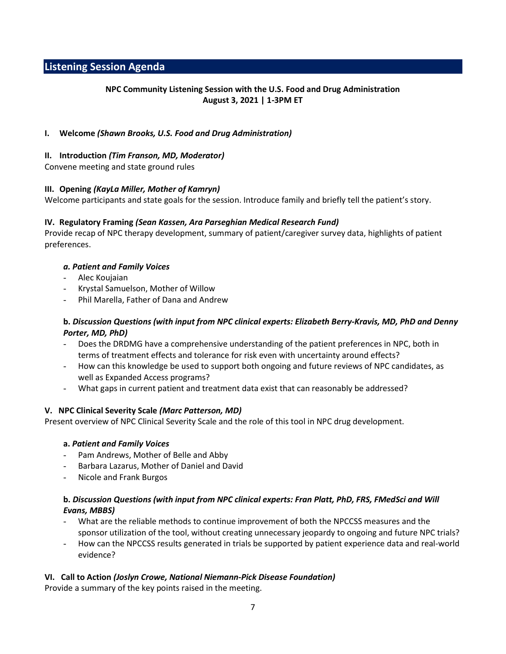# Listening Session Agenda

# NPC Community Listening Session with the U.S. Food and Drug Administration August 3, 2021 | 1-3PM ET

### I. Welcome (Shawn Brooks, U.S. Food and Drug Administration)

### II. Introduction (Tim Franson, MD, Moderator)

Convene meeting and state ground rules

### III. Opening (KayLa Miller, Mother of Kamryn)

Welcome participants and state goals for the session. Introduce family and briefly tell the patient's story.

#### IV. Regulatory Framing (Sean Kassen, Ara Parseghian Medical Research Fund)

Provide recap of NPC therapy development, summary of patient/caregiver survey data, highlights of patient preferences.

#### a. Patient and Family Voices

- Alec Koujaian
- Krystal Samuelson, Mother of Willow
- Phil Marella, Father of Dana and Andrew

### b. Discussion Questions (with input from NPC clinical experts: Elizabeth Berry-Kravis, MD, PhD and Denny Porter, MD, PhD)

- Does the DRDMG have a comprehensive understanding of the patient preferences in NPC, both in terms of treatment effects and tolerance for risk even with uncertainty around effects?
- How can this knowledge be used to support both ongoing and future reviews of NPC candidates, as well as Expanded Access programs?
- What gaps in current patient and treatment data exist that can reasonably be addressed?

### V. NPC Clinical Severity Scale (Marc Patterson, MD)

Present overview of NPC Clinical Severity Scale and the role of this tool in NPC drug development.

#### a. Patient and Family Voices

- Pam Andrews, Mother of Belle and Abby
- Barbara Lazarus, Mother of Daniel and David
- Nicole and Frank Burgos

### b. Discussion Questions (with input from NPC clinical experts: Fran Platt, PhD, FRS, FMedSci and Will Evans, MBBS)

- What are the reliable methods to continue improvement of both the NPCCSS measures and the sponsor utilization of the tool, without creating unnecessary jeopardy to ongoing and future NPC trials?
- How can the NPCCSS results generated in trials be supported by patient experience data and real-world evidence?

### VI. Call to Action (Joslyn Crowe, National Niemann-Pick Disease Foundation)

Provide a summary of the key points raised in the meeting.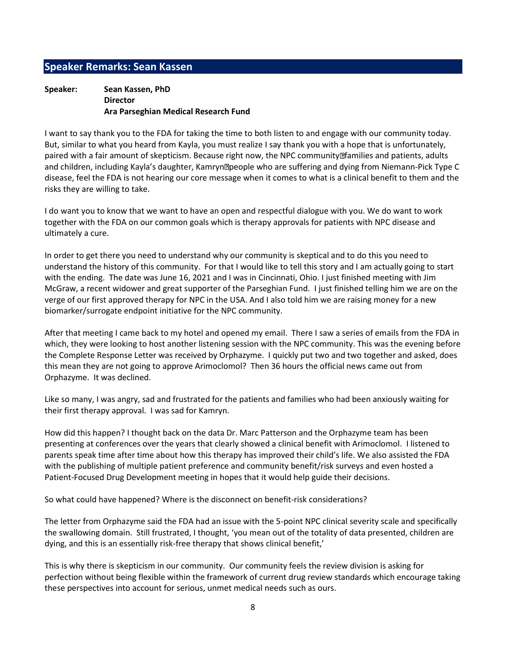# Speaker Remarks: Sean Kassen

### Speaker: Sean Kassen, PhD Director Ara Parseghian Medical Research Fund

I want to say thank you to the FDA for taking the time to both listen to and engage with our community today. But, similar to what you heard from Kayla, you must realize I say thank you with a hope that is unfortunately, paired with a fair amount of skepticism. Because right now, the NPC community **Ifamilies and patients**, adults and children, including Kayla's daughter, Kamryn people who are suffering and dying from Niemann-Pick Type C disease, feel the FDA is not hearing our core message when it comes to what is a clinical benefit to them and the risks they are willing to take.

I do want you to know that we want to have an open and respectful dialogue with you. We do want to work together with the FDA on our common goals which is therapy approvals for patients with NPC disease and ultimately a cure.

In order to get there you need to understand why our community is skeptical and to do this you need to understand the history of this community. For that I would like to tell this story and I am actually going to start with the ending. The date was June 16, 2021 and I was in Cincinnati, Ohio. I just finished meeting with Jim McGraw, a recent widower and great supporter of the Parseghian Fund. I just finished telling him we are on the verge of our first approved therapy for NPC in the USA. And I also told him we are raising money for a new biomarker/surrogate endpoint initiative for the NPC community.

After that meeting I came back to my hotel and opened my email. There I saw a series of emails from the FDA in which, they were looking to host another listening session with the NPC community. This was the evening before the Complete Response Letter was received by Orphazyme. I quickly put two and two together and asked, does this mean they are not going to approve Arimoclomol? Then 36 hours the official news came out from Orphazyme. It was declined.

Like so many, I was angry, sad and frustrated for the patients and families who had been anxiously waiting for their first therapy approval. I was sad for Kamryn.

How did this happen? I thought back on the data Dr. Marc Patterson and the Orphazyme team has been presenting at conferences over the years that clearly showed a clinical benefit with Arimoclomol. I listened to parents speak time after time about how this therapy has improved their child's life. We also assisted the FDA with the publishing of multiple patient preference and community benefit/risk surveys and even hosted a Patient-Focused Drug Development meeting in hopes that it would help guide their decisions.

So what could have happened? Where is the disconnect on benefit-risk considerations?

The letter from Orphazyme said the FDA had an issue with the 5-point NPC clinical severity scale and specifically the swallowing domain. Still frustrated, I thought, 'you mean out of the totality of data presented, children are dying, and this is an essentially risk-free therapy that shows clinical benefit,'

This is why there is skepticism in our community. Our community feels the review division is asking for perfection without being flexible within the framework of current drug review standards which encourage taking these perspectives into account for serious, unmet medical needs such as ours.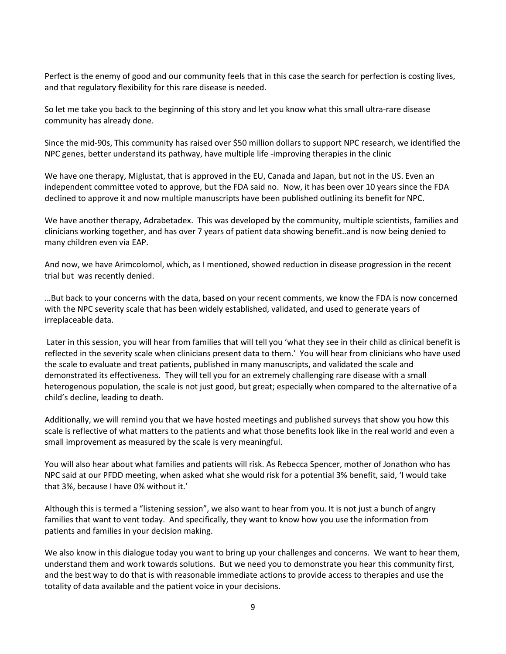Perfect is the enemy of good and our community feels that in this case the search for perfection is costing lives, and that regulatory flexibility for this rare disease is needed.

So let me take you back to the beginning of this story and let you know what this small ultra-rare disease community has already done.

Since the mid-90s, This community has raised over \$50 million dollars to support NPC research, we identified the NPC genes, better understand its pathway, have multiple life -improving therapies in the clinic

We have one therapy, Miglustat, that is approved in the EU, Canada and Japan, but not in the US. Even an independent committee voted to approve, but the FDA said no. Now, it has been over 10 years since the FDA declined to approve it and now multiple manuscripts have been published outlining its benefit for NPC.

We have another therapy, Adrabetadex. This was developed by the community, multiple scientists, families and clinicians working together, and has over 7 years of patient data showing benefit..and is now being denied to many children even via EAP.

And now, we have Arimcolomol, which, as I mentioned, showed reduction in disease progression in the recent trial but was recently denied.

…But back to your concerns with the data, based on your recent comments, we know the FDA is now concerned with the NPC severity scale that has been widely established, validated, and used to generate years of irreplaceable data.

 Later in this session, you will hear from families that will tell you 'what they see in their child as clinical benefit is reflected in the severity scale when clinicians present data to them.' You will hear from clinicians who have used the scale to evaluate and treat patients, published in many manuscripts, and validated the scale and demonstrated its effectiveness. They will tell you for an extremely challenging rare disease with a small heterogenous population, the scale is not just good, but great; especially when compared to the alternative of a child's decline, leading to death.

Additionally, we will remind you that we have hosted meetings and published surveys that show you how this scale is reflective of what matters to the patients and what those benefits look like in the real world and even a small improvement as measured by the scale is very meaningful.

You will also hear about what families and patients will risk. As Rebecca Spencer, mother of Jonathon who has NPC said at our PFDD meeting, when asked what she would risk for a potential 3% benefit, said, 'I would take that 3%, because I have 0% without it.'

Although this is termed a "listening session", we also want to hear from you. It is not just a bunch of angry families that want to vent today. And specifically, they want to know how you use the information from patients and families in your decision making.

We also know in this dialogue today you want to bring up your challenges and concerns. We want to hear them, understand them and work towards solutions. But we need you to demonstrate you hear this community first, and the best way to do that is with reasonable immediate actions to provide access to therapies and use the totality of data available and the patient voice in your decisions.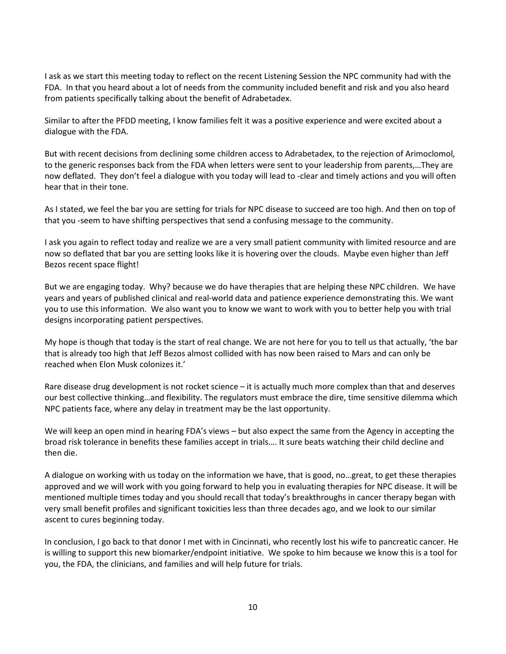I ask as we start this meeting today to reflect on the recent Listening Session the NPC community had with the FDA. In that you heard about a lot of needs from the community included benefit and risk and you also heard from patients specifically talking about the benefit of Adrabetadex.

Similar to after the PFDD meeting, I know families felt it was a positive experience and were excited about a dialogue with the FDA.

But with recent decisions from declining some children access to Adrabetadex, to the rejection of Arimoclomol, to the generic responses back from the FDA when letters were sent to your leadership from parents,…They are now deflated. They don't feel a dialogue with you today will lead to -clear and timely actions and you will often hear that in their tone.

As I stated, we feel the bar you are setting for trials for NPC disease to succeed are too high. And then on top of that you -seem to have shifting perspectives that send a confusing message to the community.

I ask you again to reflect today and realize we are a very small patient community with limited resource and are now so deflated that bar you are setting looks like it is hovering over the clouds. Maybe even higher than Jeff Bezos recent space flight!

But we are engaging today. Why? because we do have therapies that are helping these NPC children. We have years and years of published clinical and real-world data and patience experience demonstrating this. We want you to use this information. We also want you to know we want to work with you to better help you with trial designs incorporating patient perspectives.

My hope is though that today is the start of real change. We are not here for you to tell us that actually, 'the bar that is already too high that Jeff Bezos almost collided with has now been raised to Mars and can only be reached when Elon Musk colonizes it.'

Rare disease drug development is not rocket science – it is actually much more complex than that and deserves our best collective thinking…and flexibility. The regulators must embrace the dire, time sensitive dilemma which NPC patients face, where any delay in treatment may be the last opportunity.

We will keep an open mind in hearing FDA's views – but also expect the same from the Agency in accepting the broad risk tolerance in benefits these families accept in trials…. It sure beats watching their child decline and then die.

A dialogue on working with us today on the information we have, that is good, no…great, to get these therapies approved and we will work with you going forward to help you in evaluating therapies for NPC disease. It will be mentioned multiple times today and you should recall that today's breakthroughs in cancer therapy began with very small benefit profiles and significant toxicities less than three decades ago, and we look to our similar ascent to cures beginning today.

In conclusion, I go back to that donor I met with in Cincinnati, who recently lost his wife to pancreatic cancer. He is willing to support this new biomarker/endpoint initiative. We spoke to him because we know this is a tool for you, the FDA, the clinicians, and families and will help future for trials.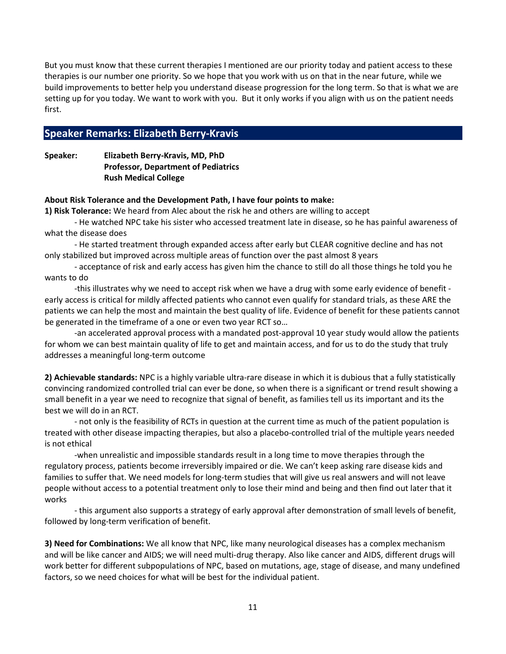But you must know that these current therapies I mentioned are our priority today and patient access to these therapies is our number one priority. So we hope that you work with us on that in the near future, while we build improvements to better help you understand disease progression for the long term. So that is what we are setting up for you today. We want to work with you. But it only works if you align with us on the patient needs first.

# Speaker Remarks: Elizabeth Berry-Kravis

Speaker: Elizabeth Berry-Kravis, MD, PhD Professor, Department of Pediatrics Rush Medical College

#### About Risk Tolerance and the Development Path, I have four points to make:

1) Risk Tolerance: We heard from Alec about the risk he and others are willing to accept

 - He watched NPC take his sister who accessed treatment late in disease, so he has painful awareness of what the disease does

 - He started treatment through expanded access after early but CLEAR cognitive decline and has not only stabilized but improved across multiple areas of function over the past almost 8 years

 - acceptance of risk and early access has given him the chance to still do all those things he told you he wants to do

 -this illustrates why we need to accept risk when we have a drug with some early evidence of benefit early access is critical for mildly affected patients who cannot even qualify for standard trials, as these ARE the patients we can help the most and maintain the best quality of life. Evidence of benefit for these patients cannot be generated in the timeframe of a one or even two year RCT so…

 -an accelerated approval process with a mandated post-approval 10 year study would allow the patients for whom we can best maintain quality of life to get and maintain access, and for us to do the study that truly addresses a meaningful long-term outcome

2) Achievable standards: NPC is a highly variable ultra-rare disease in which it is dubious that a fully statistically convincing randomized controlled trial can ever be done, so when there is a significant or trend result showing a small benefit in a year we need to recognize that signal of benefit, as families tell us its important and its the best we will do in an RCT.

 - not only is the feasibility of RCTs in question at the current time as much of the patient population is treated with other disease impacting therapies, but also a placebo-controlled trial of the multiple years needed is not ethical

 -when unrealistic and impossible standards result in a long time to move therapies through the regulatory process, patients become irreversibly impaired or die. We can't keep asking rare disease kids and families to suffer that. We need models for long-term studies that will give us real answers and will not leave people without access to a potential treatment only to lose their mind and being and then find out later that it works

 - this argument also supports a strategy of early approval after demonstration of small levels of benefit, followed by long-term verification of benefit.

3) Need for Combinations: We all know that NPC, like many neurological diseases has a complex mechanism and will be like cancer and AIDS; we will need multi-drug therapy. Also like cancer and AIDS, different drugs will work better for different subpopulations of NPC, based on mutations, age, stage of disease, and many undefined factors, so we need choices for what will be best for the individual patient.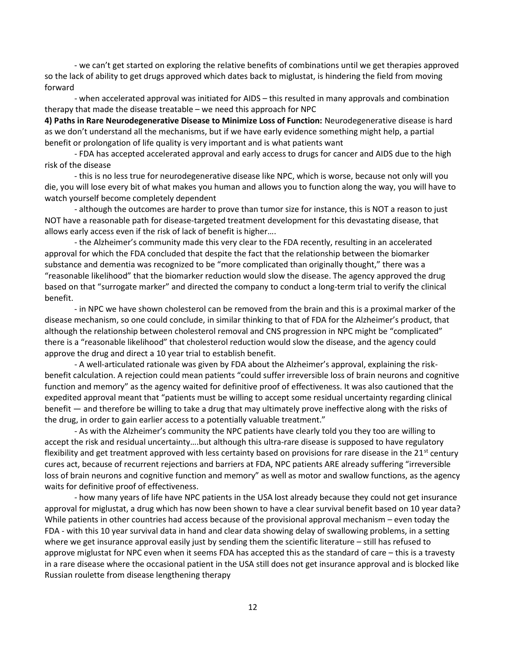- we can't get started on exploring the relative benefits of combinations until we get therapies approved so the lack of ability to get drugs approved which dates back to miglustat, is hindering the field from moving forward

 - when accelerated approval was initiated for AIDS – this resulted in many approvals and combination therapy that made the disease treatable – we need this approach for NPC

4) Paths in Rare Neurodegenerative Disease to Minimize Loss of Function: Neurodegenerative disease is hard as we don't understand all the mechanisms, but if we have early evidence something might help, a partial benefit or prolongation of life quality is very important and is what patients want

 - FDA has accepted accelerated approval and early access to drugs for cancer and AIDS due to the high risk of the disease

- this is no less true for neurodegenerative disease like NPC, which is worse, because not only will you die, you will lose every bit of what makes you human and allows you to function along the way, you will have to watch yourself become completely dependent

 - although the outcomes are harder to prove than tumor size for instance, this is NOT a reason to just NOT have a reasonable path for disease-targeted treatment development for this devastating disease, that allows early access even if the risk of lack of benefit is higher….

 - the Alzheimer's community made this very clear to the FDA recently, resulting in an accelerated approval for which the FDA concluded that despite the fact that the relationship between the biomarker substance and dementia was recognized to be "more complicated than originally thought," there was a "reasonable likelihood" that the biomarker reduction would slow the disease. The agency approved the drug based on that "surrogate marker" and directed the company to conduct a long-term trial to verify the clinical benefit.

 - in NPC we have shown cholesterol can be removed from the brain and this is a proximal marker of the disease mechanism, so one could conclude, in similar thinking to that of FDA for the Alzheimer's product, that although the relationship between cholesterol removal and CNS progression in NPC might be "complicated" there is a "reasonable likelihood" that cholesterol reduction would slow the disease, and the agency could approve the drug and direct a 10 year trial to establish benefit.

 - A well-articulated rationale was given by FDA about the Alzheimer's approval, explaining the riskbenefit calculation. A rejection could mean patients "could suffer irreversible loss of brain neurons and cognitive function and memory" as the agency waited for definitive proof of effectiveness. It was also cautioned that the expedited approval meant that "patients must be willing to accept some residual uncertainty regarding clinical benefit — and therefore be willing to take a drug that may ultimately prove ineffective along with the risks of the drug, in order to gain earlier access to a potentially valuable treatment."

 - As with the Alzheimer's community the NPC patients have clearly told you they too are willing to accept the risk and residual uncertainty….but although this ultra-rare disease is supposed to have regulatory flexibility and get treatment approved with less certainty based on provisions for rare disease in the  $21^{st}$  century cures act, because of recurrent rejections and barriers at FDA, NPC patients ARE already suffering "irreversible loss of brain neurons and cognitive function and memory" as well as motor and swallow functions, as the agency waits for definitive proof of effectiveness.

 - how many years of life have NPC patients in the USA lost already because they could not get insurance approval for miglustat, a drug which has now been shown to have a clear survival benefit based on 10 year data? While patients in other countries had access because of the provisional approval mechanism – even today the FDA - with this 10 year survival data in hand and clear data showing delay of swallowing problems, in a setting where we get insurance approval easily just by sending them the scientific literature – still has refused to approve miglustat for NPC even when it seems FDA has accepted this as the standard of care – this is a travesty in a rare disease where the occasional patient in the USA still does not get insurance approval and is blocked like Russian roulette from disease lengthening therapy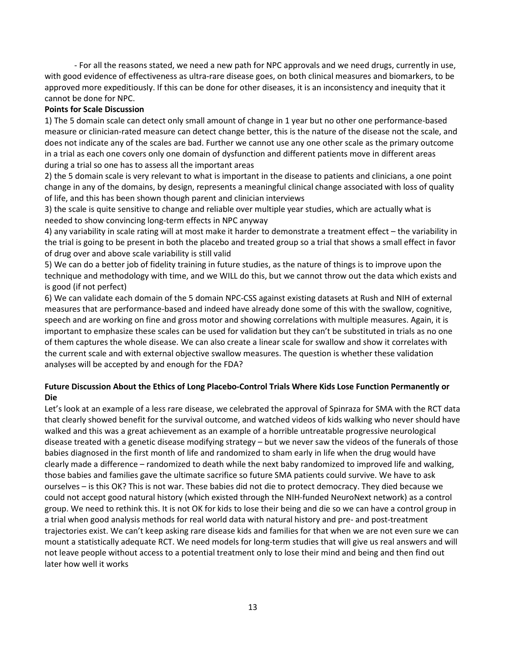- For all the reasons stated, we need a new path for NPC approvals and we need drugs, currently in use, with good evidence of effectiveness as ultra-rare disease goes, on both clinical measures and biomarkers, to be approved more expeditiously. If this can be done for other diseases, it is an inconsistency and inequity that it cannot be done for NPC.

### Points for Scale Discussion

1) The 5 domain scale can detect only small amount of change in 1 year but no other one performance-based measure or clinician-rated measure can detect change better, this is the nature of the disease not the scale, and does not indicate any of the scales are bad. Further we cannot use any one other scale as the primary outcome in a trial as each one covers only one domain of dysfunction and different patients move in different areas during a trial so one has to assess all the important areas

2) the 5 domain scale is very relevant to what is important in the disease to patients and clinicians, a one point change in any of the domains, by design, represents a meaningful clinical change associated with loss of quality of life, and this has been shown though parent and clinician interviews

3) the scale is quite sensitive to change and reliable over multiple year studies, which are actually what is needed to show convincing long-term effects in NPC anyway

4) any variability in scale rating will at most make it harder to demonstrate a treatment effect – the variability in the trial is going to be present in both the placebo and treated group so a trial that shows a small effect in favor of drug over and above scale variability is still valid

5) We can do a better job of fidelity training in future studies, as the nature of things is to improve upon the technique and methodology with time, and we WILL do this, but we cannot throw out the data which exists and is good (if not perfect)

6) We can validate each domain of the 5 domain NPC-CSS against existing datasets at Rush and NIH of external measures that are performance-based and indeed have already done some of this with the swallow, cognitive, speech and are working on fine and gross motor and showing correlations with multiple measures. Again, it is important to emphasize these scales can be used for validation but they can't be substituted in trials as no one of them captures the whole disease. We can also create a linear scale for swallow and show it correlates with the current scale and with external objective swallow measures. The question is whether these validation analyses will be accepted by and enough for the FDA?

# Future Discussion About the Ethics of Long Placebo-Control Trials Where Kids Lose Function Permanently or Die

Let's look at an example of a less rare disease, we celebrated the approval of Spinraza for SMA with the RCT data that clearly showed benefit for the survival outcome, and watched videos of kids walking who never should have walked and this was a great achievement as an example of a horrible untreatable progressive neurological disease treated with a genetic disease modifying strategy – but we never saw the videos of the funerals of those babies diagnosed in the first month of life and randomized to sham early in life when the drug would have clearly made a difference – randomized to death while the next baby randomized to improved life and walking, those babies and families gave the ultimate sacrifice so future SMA patients could survive. We have to ask ourselves – is this OK? This is not war. These babies did not die to protect democracy. They died because we could not accept good natural history (which existed through the NIH-funded NeuroNext network) as a control group. We need to rethink this. It is not OK for kids to lose their being and die so we can have a control group in a trial when good analysis methods for real world data with natural history and pre- and post-treatment trajectories exist. We can't keep asking rare disease kids and families for that when we are not even sure we can mount a statistically adequate RCT. We need models for long-term studies that will give us real answers and will not leave people without access to a potential treatment only to lose their mind and being and then find out later how well it works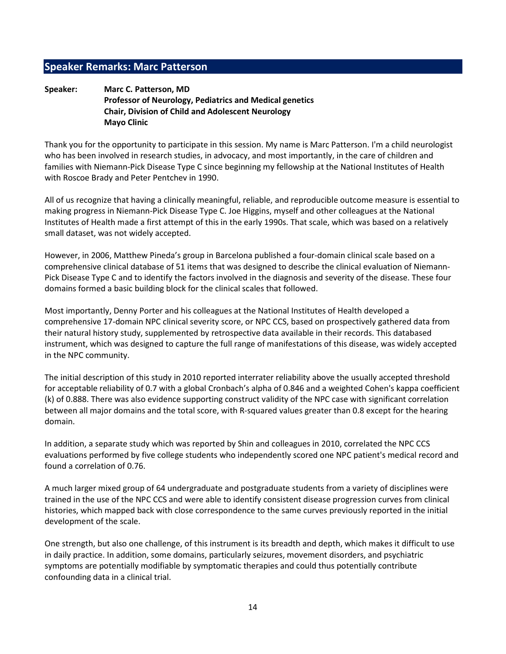# Speaker Remarks: Marc Patterson

### Speaker: Marc C. Patterson, MD Professor of Neurology, Pediatrics and Medical genetics Chair, Division of Child and Adolescent Neurology Mayo Clinic

Thank you for the opportunity to participate in this session. My name is Marc Patterson. I'm a child neurologist who has been involved in research studies, in advocacy, and most importantly, in the care of children and families with Niemann-Pick Disease Type C since beginning my fellowship at the National Institutes of Health with Roscoe Brady and Peter Pentchev in 1990.

All of us recognize that having a clinically meaningful, reliable, and reproducible outcome measure is essential to making progress in Niemann-Pick Disease Type C. Joe Higgins, myself and other colleagues at the National Institutes of Health made a first attempt of this in the early 1990s. That scale, which was based on a relatively small dataset, was not widely accepted.

However, in 2006, Matthew Pineda's group in Barcelona published a four-domain clinical scale based on a comprehensive clinical database of 51 items that was designed to describe the clinical evaluation of Niemann-Pick Disease Type C and to identify the factors involved in the diagnosis and severity of the disease. These four domains formed a basic building block for the clinical scales that followed.

Most importantly, Denny Porter and his colleagues at the National Institutes of Health developed a comprehensive 17-domain NPC clinical severity score, or NPC CCS, based on prospectively gathered data from their natural history study, supplemented by retrospective data available in their records. This databased instrument, which was designed to capture the full range of manifestations of this disease, was widely accepted in the NPC community.

The initial description of this study in 2010 reported interrater reliability above the usually accepted threshold for acceptable reliability of 0.7 with a global Cronbach's alpha of 0.846 and a weighted Cohen's kappa coefficient (k) of 0.888. There was also evidence supporting construct validity of the NPC case with significant correlation between all major domains and the total score, with R-squared values greater than 0.8 except for the hearing domain.

In addition, a separate study which was reported by Shin and colleagues in 2010, correlated the NPC CCS evaluations performed by five college students who independently scored one NPC patient's medical record and found a correlation of 0.76.

A much larger mixed group of 64 undergraduate and postgraduate students from a variety of disciplines were trained in the use of the NPC CCS and were able to identify consistent disease progression curves from clinical histories, which mapped back with close correspondence to the same curves previously reported in the initial development of the scale.

One strength, but also one challenge, of this instrument is its breadth and depth, which makes it difficult to use in daily practice. In addition, some domains, particularly seizures, movement disorders, and psychiatric symptoms are potentially modifiable by symptomatic therapies and could thus potentially contribute confounding data in a clinical trial.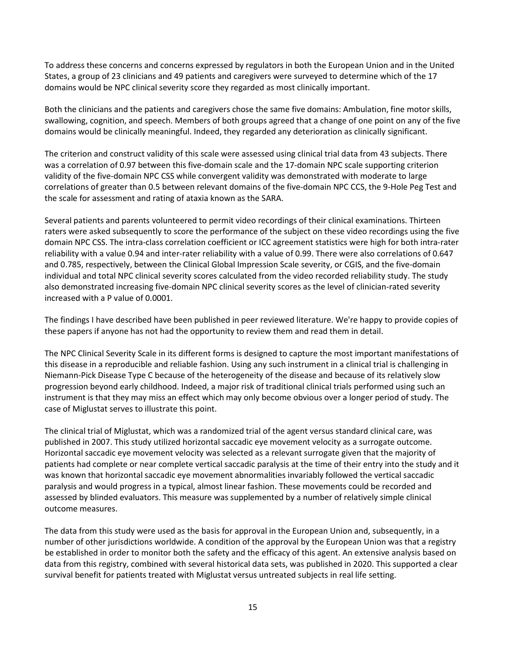To address these concerns and concerns expressed by regulators in both the European Union and in the United States, a group of 23 clinicians and 49 patients and caregivers were surveyed to determine which of the 17 domains would be NPC clinical severity score they regarded as most clinically important.

Both the clinicians and the patients and caregivers chose the same five domains: Ambulation, fine motor skills, swallowing, cognition, and speech. Members of both groups agreed that a change of one point on any of the five domains would be clinically meaningful. Indeed, they regarded any deterioration as clinically significant.

The criterion and construct validity of this scale were assessed using clinical trial data from 43 subjects. There was a correlation of 0.97 between this five-domain scale and the 17-domain NPC scale supporting criterion validity of the five-domain NPC CSS while convergent validity was demonstrated with moderate to large correlations of greater than 0.5 between relevant domains of the five-domain NPC CCS, the 9-Hole Peg Test and the scale for assessment and rating of ataxia known as the SARA.

Several patients and parents volunteered to permit video recordings of their clinical examinations. Thirteen raters were asked subsequently to score the performance of the subject on these video recordings using the five domain NPC CSS. The intra-class correlation coefficient or ICC agreement statistics were high for both intra-rater reliability with a value 0.94 and inter-rater reliability with a value of 0.99. There were also correlations of 0.647 and 0.785, respectively, between the Clinical Global Impression Scale severity, or CGIS, and the five-domain individual and total NPC clinical severity scores calculated from the video recorded reliability study. The study also demonstrated increasing five-domain NPC clinical severity scores as the level of clinician-rated severity increased with a P value of 0.0001.

The findings I have described have been published in peer reviewed literature. We're happy to provide copies of these papers if anyone has not had the opportunity to review them and read them in detail.

The NPC Clinical Severity Scale in its different forms is designed to capture the most important manifestations of this disease in a reproducible and reliable fashion. Using any such instrument in a clinical trial is challenging in Niemann-Pick Disease Type C because of the heterogeneity of the disease and because of its relatively slow progression beyond early childhood. Indeed, a major risk of traditional clinical trials performed using such an instrument is that they may miss an effect which may only become obvious over a longer period of study. The case of Miglustat serves to illustrate this point.

The clinical trial of Miglustat, which was a randomized trial of the agent versus standard clinical care, was published in 2007. This study utilized horizontal saccadic eye movement velocity as a surrogate outcome. Horizontal saccadic eye movement velocity was selected as a relevant surrogate given that the majority of patients had complete or near complete vertical saccadic paralysis at the time of their entry into the study and it was known that horizontal saccadic eye movement abnormalities invariably followed the vertical saccadic paralysis and would progress in a typical, almost linear fashion. These movements could be recorded and assessed by blinded evaluators. This measure was supplemented by a number of relatively simple clinical outcome measures.

The data from this study were used as the basis for approval in the European Union and, subsequently, in a number of other jurisdictions worldwide. A condition of the approval by the European Union was that a registry be established in order to monitor both the safety and the efficacy of this agent. An extensive analysis based on data from this registry, combined with several historical data sets, was published in 2020. This supported a clear survival benefit for patients treated with Miglustat versus untreated subjects in real life setting.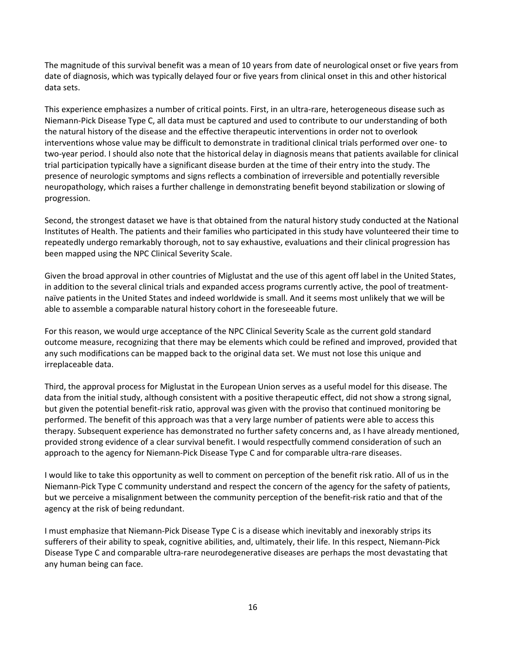The magnitude of this survival benefit was a mean of 10 years from date of neurological onset or five years from date of diagnosis, which was typically delayed four or five years from clinical onset in this and other historical data sets.

This experience emphasizes a number of critical points. First, in an ultra-rare, heterogeneous disease such as Niemann-Pick Disease Type C, all data must be captured and used to contribute to our understanding of both the natural history of the disease and the effective therapeutic interventions in order not to overlook interventions whose value may be difficult to demonstrate in traditional clinical trials performed over one- to two-year period. I should also note that the historical delay in diagnosis means that patients available for clinical trial participation typically have a significant disease burden at the time of their entry into the study. The presence of neurologic symptoms and signs reflects a combination of irreversible and potentially reversible neuropathology, which raises a further challenge in demonstrating benefit beyond stabilization or slowing of progression.

Second, the strongest dataset we have is that obtained from the natural history study conducted at the National Institutes of Health. The patients and their families who participated in this study have volunteered their time to repeatedly undergo remarkably thorough, not to say exhaustive, evaluations and their clinical progression has been mapped using the NPC Clinical Severity Scale.

Given the broad approval in other countries of Miglustat and the use of this agent off label in the United States, in addition to the several clinical trials and expanded access programs currently active, the pool of treatmentnaïve patients in the United States and indeed worldwide is small. And it seems most unlikely that we will be able to assemble a comparable natural history cohort in the foreseeable future.

For this reason, we would urge acceptance of the NPC Clinical Severity Scale as the current gold standard outcome measure, recognizing that there may be elements which could be refined and improved, provided that any such modifications can be mapped back to the original data set. We must not lose this unique and irreplaceable data.

Third, the approval process for Miglustat in the European Union serves as a useful model for this disease. The data from the initial study, although consistent with a positive therapeutic effect, did not show a strong signal, but given the potential benefit-risk ratio, approval was given with the proviso that continued monitoring be performed. The benefit of this approach was that a very large number of patients were able to access this therapy. Subsequent experience has demonstrated no further safety concerns and, as I have already mentioned, provided strong evidence of a clear survival benefit. I would respectfully commend consideration of such an approach to the agency for Niemann-Pick Disease Type C and for comparable ultra-rare diseases.

I would like to take this opportunity as well to comment on perception of the benefit risk ratio. All of us in the Niemann-Pick Type C community understand and respect the concern of the agency for the safety of patients, but we perceive a misalignment between the community perception of the benefit-risk ratio and that of the agency at the risk of being redundant.

I must emphasize that Niemann-Pick Disease Type C is a disease which inevitably and inexorably strips its sufferers of their ability to speak, cognitive abilities, and, ultimately, their life. In this respect, Niemann-Pick Disease Type C and comparable ultra-rare neurodegenerative diseases are perhaps the most devastating that any human being can face.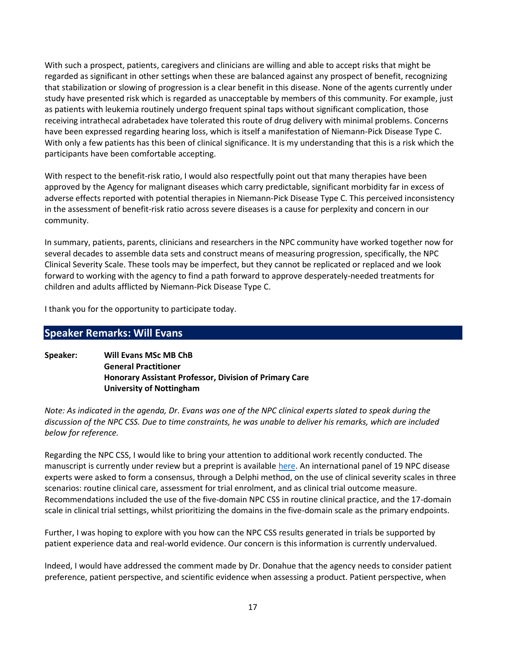With such a prospect, patients, caregivers and clinicians are willing and able to accept risks that might be regarded as significant in other settings when these are balanced against any prospect of benefit, recognizing that stabilization or slowing of progression is a clear benefit in this disease. None of the agents currently under study have presented risk which is regarded as unacceptable by members of this community. For example, just as patients with leukemia routinely undergo frequent spinal taps without significant complication, those receiving intrathecal adrabetadex have tolerated this route of drug delivery with minimal problems. Concerns have been expressed regarding hearing loss, which is itself a manifestation of Niemann-Pick Disease Type C. With only a few patients has this been of clinical significance. It is my understanding that this is a risk which the participants have been comfortable accepting.

With respect to the benefit-risk ratio, I would also respectfully point out that many therapies have been approved by the Agency for malignant diseases which carry predictable, significant morbidity far in excess of adverse effects reported with potential therapies in Niemann-Pick Disease Type C. This perceived inconsistency in the assessment of benefit-risk ratio across severe diseases is a cause for perplexity and concern in our community.

In summary, patients, parents, clinicians and researchers in the NPC community have worked together now for several decades to assemble data sets and construct means of measuring progression, specifically, the NPC Clinical Severity Scale. These tools may be imperfect, but they cannot be replicated or replaced and we look forward to working with the agency to find a path forward to approve desperately-needed treatments for children and adults afflicted by Niemann-Pick Disease Type C.

I thank you for the opportunity to participate today.

# Speaker Remarks: Will Evans

Speaker: Will Evans MSc MB ChB General Practitioner Honorary Assistant Professor, Division of Primary Care University of Nottingham

Note: As indicated in the agenda, Dr. Evans was one of the NPC clinical experts slated to speak during the discussion of the NPC CSS. Due to time constraints, he was unable to deliver his remarks, which are included below for reference.

Regarding the NPC CSS, I would like to bring your attention to additional work recently conducted. The manuscript is currently under review but a preprint is available here. An international panel of 19 NPC disease experts were asked to form a consensus, through a Delphi method, on the use of clinical severity scales in three scenarios: routine clinical care, assessment for trial enrolment, and as clinical trial outcome measure. Recommendations included the use of the five-domain NPC CSS in routine clinical practice, and the 17-domain scale in clinical trial settings, whilst prioritizing the domains in the five-domain scale as the primary endpoints.

Further, I was hoping to explore with you how can the NPC CSS results generated in trials be supported by patient experience data and real-world evidence. Our concern is this information is currently undervalued.

Indeed, I would have addressed the comment made by Dr. Donahue that the agency needs to consider patient preference, patient perspective, and scientific evidence when assessing a product. Patient perspective, when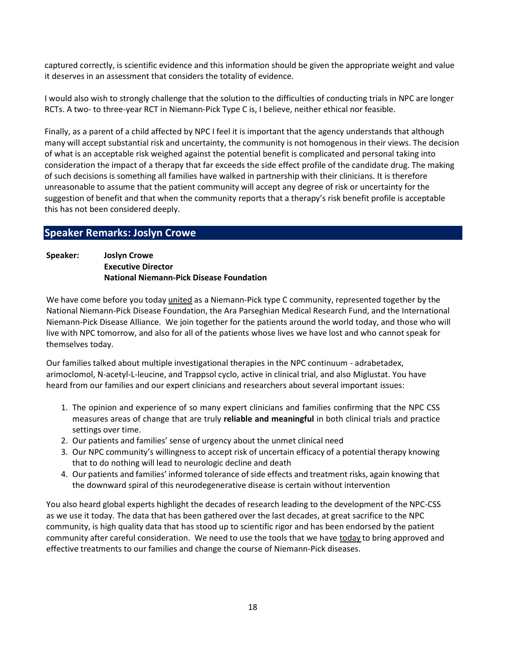captured correctly, is scientific evidence and this information should be given the appropriate weight and value it deserves in an assessment that considers the totality of evidence.

I would also wish to strongly challenge that the solution to the difficulties of conducting trials in NPC are longer RCTs. A two- to three-year RCT in Niemann-Pick Type C is, I believe, neither ethical nor feasible.

Finally, as a parent of a child affected by NPC I feel it is important that the agency understands that although many will accept substantial risk and uncertainty, the community is not homogenous in their views. The decision of what is an acceptable risk weighed against the potential benefit is complicated and personal taking into consideration the impact of a therapy that far exceeds the side effect profile of the candidate drug. The making of such decisions is something all families have walked in partnership with their clinicians. It is therefore unreasonable to assume that the patient community will accept any degree of risk or uncertainty for the suggestion of benefit and that when the community reports that a therapy's risk benefit profile is acceptable this has not been considered deeply.

# Speaker Remarks: Joslyn Crowe

Speaker: Joslyn Crowe Executive Director National Niemann-Pick Disease Foundation

We have come before you today *united* as a Niemann-Pick type C community, represented together by the National Niemann-Pick Disease Foundation, the Ara Parseghian Medical Research Fund, and the International Niemann-Pick Disease Alliance. We join together for the patients around the world today, and those who will live with NPC tomorrow, and also for all of the patients whose lives we have lost and who cannot speak for themselves today.

Our families talked about multiple investigational therapies in the NPC continuum - adrabetadex, arimoclomol, N-acetyl-L-leucine, and Trappsol cyclo, active in clinical trial, and also Miglustat. You have heard from our families and our expert clinicians and researchers about several important issues:

- 1. The opinion and experience of so many expert clinicians and families confirming that the NPC CSS measures areas of change that are truly reliable and meaningful in both clinical trials and practice settings over time.
- 2. Our patients and families' sense of urgency about the unmet clinical need
- 3. Our NPC community's willingness to accept risk of uncertain efficacy of a potential therapy knowing that to do nothing will lead to neurologic decline and death
- 4. Our patients and families' informed tolerance of side effects and treatment risks, again knowing that the downward spiral of this neurodegenerative disease is certain without intervention

You also heard global experts highlight the decades of research leading to the development of the NPC-CSS as we use it today. The data that has been gathered over the last decades, at great sacrifice to the NPC community, is high quality data that has stood up to scientific rigor and has been endorsed by the patient community after careful consideration. We need to use the tools that we have today to bring approved and effective treatments to our families and change the course of Niemann-Pick diseases.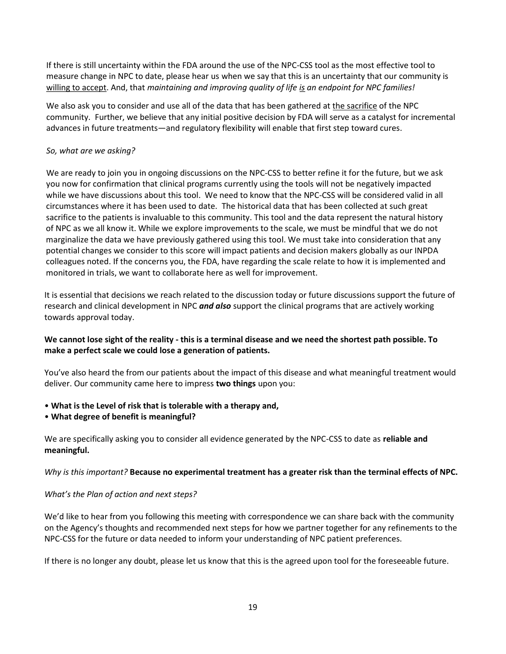If there is still uncertainty within the FDA around the use of the NPC-CSS tool as the most effective tool to measure change in NPC to date, please hear us when we say that this is an uncertainty that our community is willing to accept. And, that maintaining and improving quality of life is an endpoint for NPC families!

We also ask you to consider and use all of the data that has been gathered at the sacrifice of the NPC community. Further, we believe that any initial positive decision by FDA will serve as a catalyst for incremental advances in future treatments—and regulatory flexibility will enable that first step toward cures.

### So, what are we asking?

We are ready to join you in ongoing discussions on the NPC-CSS to better refine it for the future, but we ask you now for confirmation that clinical programs currently using the tools will not be negatively impacted while we have discussions about this tool. We need to know that the NPC-CSS will be considered valid in all circumstances where it has been used to date. The historical data that has been collected at such great sacrifice to the patients is invaluable to this community. This tool and the data represent the natural history of NPC as we all know it. While we explore improvements to the scale, we must be mindful that we do not marginalize the data we have previously gathered using this tool. We must take into consideration that any potential changes we consider to this score will impact patients and decision makers globally as our INPDA colleagues noted. If the concerns you, the FDA, have regarding the scale relate to how it is implemented and monitored in trials, we want to collaborate here as well for improvement.

It is essential that decisions we reach related to the discussion today or future discussions support the future of research and clinical development in NPC and also support the clinical programs that are actively working towards approval today.

# We cannot lose sight of the reality - this is a terminal disease and we need the shortest path possible. To make a perfect scale we could lose a generation of patients.

You've also heard the from our patients about the impact of this disease and what meaningful treatment would deliver. Our community came here to impress two things upon you:

- What is the Level of risk that is tolerable with a therapy and,
- What degree of benefit is meaningful?

We are specifically asking you to consider all evidence generated by the NPC-CSS to date as reliable and meaningful.

# Why is this important? Because no experimental treatment has a greater risk than the terminal effects of NPC.

### What's the Plan of action and next steps?

We'd like to hear from you following this meeting with correspondence we can share back with the community on the Agency's thoughts and recommended next steps for how we partner together for any refinements to the NPC-CSS for the future or data needed to inform your understanding of NPC patient preferences.

If there is no longer any doubt, please let us know that this is the agreed upon tool for the foreseeable future.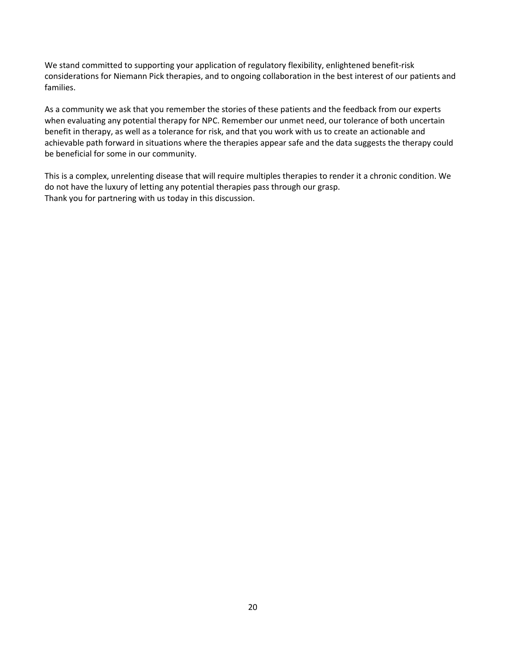We stand committed to supporting your application of regulatory flexibility, enlightened benefit-risk considerations for Niemann Pick therapies, and to ongoing collaboration in the best interest of our patients and families.

As a community we ask that you remember the stories of these patients and the feedback from our experts when evaluating any potential therapy for NPC. Remember our unmet need, our tolerance of both uncertain benefit in therapy, as well as a tolerance for risk, and that you work with us to create an actionable and achievable path forward in situations where the therapies appear safe and the data suggests the therapy could be beneficial for some in our community.

This is a complex, unrelenting disease that will require multiples therapies to render it a chronic condition. We do not have the luxury of letting any potential therapies pass through our grasp. Thank you for partnering with us today in this discussion.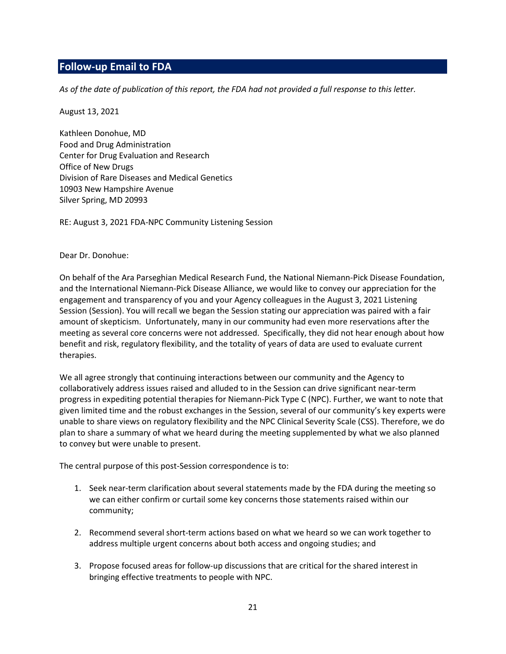# Follow-up Email to FDA

As of the date of publication of this report, the FDA had not provided a full response to this letter.

August 13, 2021

Kathleen Donohue, MD Food and Drug Administration Center for Drug Evaluation and Research Office of New Drugs Division of Rare Diseases and Medical Genetics 10903 New Hampshire Avenue Silver Spring, MD 20993

RE: August 3, 2021 FDA-NPC Community Listening Session

Dear Dr. Donohue:

On behalf of the Ara Parseghian Medical Research Fund, the National Niemann-Pick Disease Foundation, and the International Niemann-Pick Disease Alliance, we would like to convey our appreciation for the engagement and transparency of you and your Agency colleagues in the August 3, 2021 Listening Session (Session). You will recall we began the Session stating our appreciation was paired with a fair amount of skepticism. Unfortunately, many in our community had even more reservations after the meeting as several core concerns were not addressed. Specifically, they did not hear enough about how benefit and risk, regulatory flexibility, and the totality of years of data are used to evaluate current therapies.

We all agree strongly that continuing interactions between our community and the Agency to collaboratively address issues raised and alluded to in the Session can drive significant near-term progress in expediting potential therapies for Niemann-Pick Type C (NPC). Further, we want to note that given limited time and the robust exchanges in the Session, several of our community's key experts were unable to share views on regulatory flexibility and the NPC Clinical Severity Scale (CSS). Therefore, we do plan to share a summary of what we heard during the meeting supplemented by what we also planned to convey but were unable to present.

The central purpose of this post-Session correspondence is to:

- 1. Seek near-term clarification about several statements made by the FDA during the meeting so we can either confirm or curtail some key concerns those statements raised within our community;
- 2. Recommend several short-term actions based on what we heard so we can work together to address multiple urgent concerns about both access and ongoing studies; and
- 3. Propose focused areas for follow-up discussions that are critical for the shared interest in bringing effective treatments to people with NPC.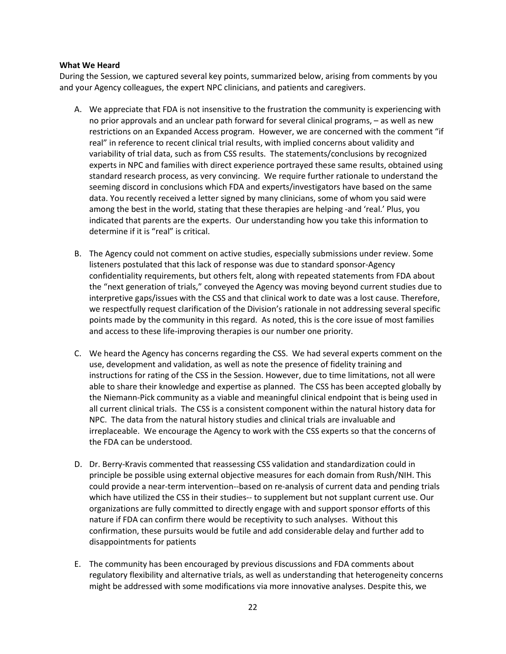#### What We Heard

During the Session, we captured several key points, summarized below, arising from comments by you and your Agency colleagues, the expert NPC clinicians, and patients and caregivers.

- A. We appreciate that FDA is not insensitive to the frustration the community is experiencing with no prior approvals and an unclear path forward for several clinical programs, – as well as new restrictions on an Expanded Access program. However, we are concerned with the comment "if real" in reference to recent clinical trial results, with implied concerns about validity and variability of trial data, such as from CSS results. The statements/conclusions by recognized experts in NPC and families with direct experience portrayed these same results, obtained using standard research process, as very convincing. We require further rationale to understand the seeming discord in conclusions which FDA and experts/investigators have based on the same data. You recently received a letter signed by many clinicians, some of whom you said were among the best in the world, stating that these therapies are helping -and 'real.' Plus, you indicated that parents are the experts. Our understanding how you take this information to determine if it is "real" is critical.
- B. The Agency could not comment on active studies, especially submissions under review. Some listeners postulated that this lack of response was due to standard sponsor-Agency confidentiality requirements, but others felt, along with repeated statements from FDA about the "next generation of trials," conveyed the Agency was moving beyond current studies due to interpretive gaps/issues with the CSS and that clinical work to date was a lost cause. Therefore, we respectfully request clarification of the Division's rationale in not addressing several specific points made by the community in this regard. As noted, this is the core issue of most families and access to these life-improving therapies is our number one priority.
- C. We heard the Agency has concerns regarding the CSS. We had several experts comment on the use, development and validation, as well as note the presence of fidelity training and instructions for rating of the CSS in the Session. However, due to time limitations, not all were able to share their knowledge and expertise as planned. The CSS has been accepted globally by the Niemann-Pick community as a viable and meaningful clinical endpoint that is being used in all current clinical trials. The CSS is a consistent component within the natural history data for NPC. The data from the natural history studies and clinical trials are invaluable and irreplaceable. We encourage the Agency to work with the CSS experts so that the concerns of the FDA can be understood.
- D. Dr. Berry-Kravis commented that reassessing CSS validation and standardization could in principle be possible using external objective measures for each domain from Rush/NIH. This could provide a near-term intervention--based on re-analysis of current data and pending trials which have utilized the CSS in their studies-- to supplement but not supplant current use. Our organizations are fully committed to directly engage with and support sponsor efforts of this nature if FDA can confirm there would be receptivity to such analyses. Without this confirmation, these pursuits would be futile and add considerable delay and further add to disappointments for patients
- E. The community has been encouraged by previous discussions and FDA comments about regulatory flexibility and alternative trials, as well as understanding that heterogeneity concerns might be addressed with some modifications via more innovative analyses. Despite this, we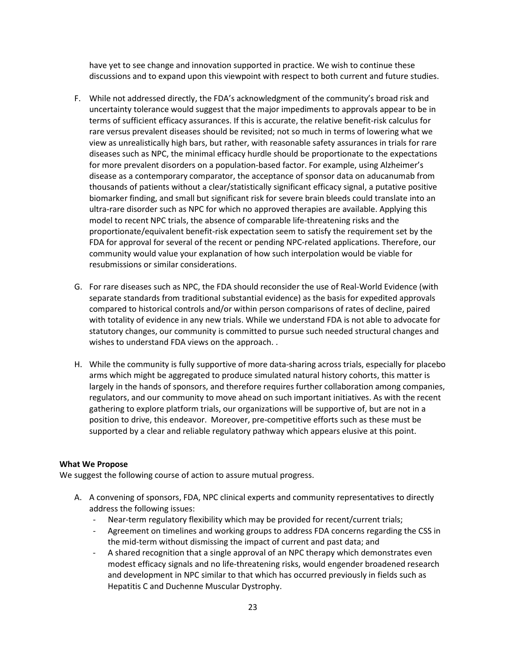have yet to see change and innovation supported in practice. We wish to continue these discussions and to expand upon this viewpoint with respect to both current and future studies.

- F. While not addressed directly, the FDA's acknowledgment of the community's broad risk and uncertainty tolerance would suggest that the major impediments to approvals appear to be in terms of sufficient efficacy assurances. If this is accurate, the relative benefit-risk calculus for rare versus prevalent diseases should be revisited; not so much in terms of lowering what we view as unrealistically high bars, but rather, with reasonable safety assurances in trials for rare diseases such as NPC, the minimal efficacy hurdle should be proportionate to the expectations for more prevalent disorders on a population-based factor. For example, using Alzheimer's disease as a contemporary comparator, the acceptance of sponsor data on aducanumab from thousands of patients without a clear/statistically significant efficacy signal, a putative positive biomarker finding, and small but significant risk for severe brain bleeds could translate into an ultra-rare disorder such as NPC for which no approved therapies are available. Applying this model to recent NPC trials, the absence of comparable life-threatening risks and the proportionate/equivalent benefit-risk expectation seem to satisfy the requirement set by the FDA for approval for several of the recent or pending NPC-related applications. Therefore, our community would value your explanation of how such interpolation would be viable for resubmissions or similar considerations.
- G. For rare diseases such as NPC, the FDA should reconsider the use of Real-World Evidence (with separate standards from traditional substantial evidence) as the basis for expedited approvals compared to historical controls and/or within person comparisons of rates of decline, paired with totality of evidence in any new trials. While we understand FDA is not able to advocate for statutory changes, our community is committed to pursue such needed structural changes and wishes to understand FDA views on the approach. .
- H. While the community is fully supportive of more data-sharing across trials, especially for placebo arms which might be aggregated to produce simulated natural history cohorts, this matter is largely in the hands of sponsors, and therefore requires further collaboration among companies, regulators, and our community to move ahead on such important initiatives. As with the recent gathering to explore platform trials, our organizations will be supportive of, but are not in a position to drive, this endeavor. Moreover, pre-competitive efforts such as these must be supported by a clear and reliable regulatory pathway which appears elusive at this point.

### What We Propose

We suggest the following course of action to assure mutual progress.

- A. A convening of sponsors, FDA, NPC clinical experts and community representatives to directly address the following issues:
	- Near-term regulatory flexibility which may be provided for recent/current trials;
	- Agreement on timelines and working groups to address FDA concerns regarding the CSS in the mid-term without dismissing the impact of current and past data; and
	- A shared recognition that a single approval of an NPC therapy which demonstrates even modest efficacy signals and no life-threatening risks, would engender broadened research and development in NPC similar to that which has occurred previously in fields such as Hepatitis C and Duchenne Muscular Dystrophy.